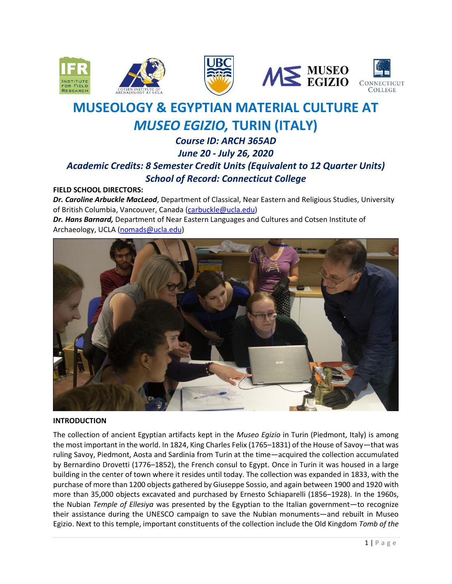







# **MUSEOLOGY & EGYPTIAN MATERIAL CULTURE AT** *MUSEO EGIZIO,* **TURIN (ITALY)**

# *Course ID: ARCH 365AD June 20 - July 26, 2020 Academic Credits: 8 Semester Credit Units (Equivalent to 12 Quarter Units) School of Record: Connecticut College*

**FIELD SCHOOL DIRECTORS:**

*Dr. Caroline Arbuckle MacLeod*, Department of Classical, Near Eastern and Religious Studies, University of British Columbia, Vancouver, Canada [\(carbuckle@ucla.edu\)](mailto:carbuckle@ucla.edu) *Dr. Hans Barnard,* Department of Near Eastern Languages and Cultures and Cotsen Institute of Archaeology, UCLA [\(nomads@ucla.edu\)](mailto:nomads@ucla.edu)



#### **INTRODUCTION**

The collection of ancient Egyptian artifacts kept in the *Museo Egizio* in Turin (Piedmont, Italy) is among the most important in the world. In 1824, King Charles Felix (1765-1831) of the House of Savoy-that was ruling Savoy, Piedmont, Aosta and Sardinia from Turin at the time—acquired the collection accumulated by Bernardino Drovetti (1776-1852), the French consul to Egypt. Once in Turin it was housed in a large building in the center of town where it resides until today. The collection was expanded in 1833, with the purchase of more than 1200 objects gathered by Giuseppe Sossio, and again between 1900 and 1920 with more than 35,000 objects excavated and purchased by Ernesto Schiaparelli (1856–1928). In the 1960s, the Nubian *Temple of Ellesiya* was presented by the Egyptian to the Italian government—to recognize their assistance during the UNESCO campaign to save the Nubian monuments—and rebuilt in Museo Egizio. Next to this temple, important constituents of the collection include the Old Kingdom *Tomb of the*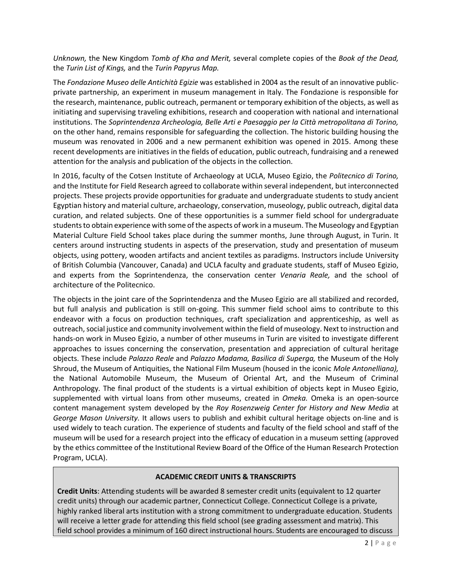*Unknown,* the New Kingdom *Tomb of Kha and Merit,* several complete copies of the *Book of the Dead,* the *Turin List of Kings,* and the *Turin Papyrus Map.*

The *Fondazione Museo delle Antichità Egizie* was established in 2004 as the result of an innovative publicprivate partnership, an experiment in museum management in Italy. The Fondazione is responsible for the research, maintenance, public outreach, permanent or temporary exhibition of the objects, as well as initiating and supervising traveling exhibitions, research and cooperation with national and international institutions. The *Soprintendenza Archeologia, Belle Arti e Paesaggio per la Città metropolitana di Torino,* on the other hand, remains responsible for safeguarding the collection. The historic building housing the museum was renovated in 2006 and a new permanent exhibition was opened in 2015. Among these recent developments are initiatives in the fields of education, public outreach, fundraising and a renewed attention for the analysis and publication of the objects in the collection.

In 2016, faculty of the Cotsen Institute of Archaeology at UCLA, Museo Egizio, the *Politecnico di Torino,* and the Institute for Field Research agreed to collaborate within several independent, but interconnected projects. These projects provide opportunities for graduate and undergraduate students to study ancient Egyptian history and material culture, archaeology, conservation, museology, public outreach, digital data curation, and related subjects. One of these opportunities is a summer field school for undergraduate students to obtain experience with some of the aspects of work in a museum. The Museology and Egyptian Material Culture Field School takes place during the summer months, June through August, in Turin. It centers around instructing students in aspects of the preservation, study and presentation of museum objects, using pottery, wooden artifacts and ancient textiles as paradigms. Instructors include University of British Columbia (Vancouver, Canada) and UCLA faculty and graduate students, staff of Museo Egizio, and experts from the Soprintendenza, the conservation center *Venaria Reale,* and the school of architecture of the Politecnico.

The objects in the joint care of the Soprintendenza and the Museo Egizio are all stabilized and recorded, but full analysis and publication is still on-going. This summer field school aims to contribute to this endeavor with a focus on production techniques, craft specialization and apprenticeship, as well as outreach, social justice and community involvement within the field of museology. Next to instruction and hands-on work in Museo Egizio, a number of other museums in Turin are visited to investigate different approaches to issues concerning the conservation, presentation and appreciation of cultural heritage objects. These include *Palazzo Reale* and *Palazzo Madama, Basilica di Superga,* the Museum of the Holy Shroud, the Museum of Antiquities, the National Film Museum (housed in the iconic *Mole Antonelliana),*  the National Automobile Museum, the Museum of Oriental Art, and the Museum of Criminal Anthropology*.* The final product of the students is a virtual exhibition of objects kept in Museo Egizio, supplemented with virtual loans from other museums, created in *Omeka.* Omeka is an open-source content management system developed by the *Roy Rosenzweig Center for History and New Media* at *George Mason University.* It allows users to publish and exhibit cultural heritage objects on-line and is used widely to teach curation. The experience of students and faculty of the field school and staff of the museum will be used for a research project into the efficacy of education in a museum setting (approved by the ethics committee of the Institutional Review Board of the Office of the Human Research Protection Program, UCLA).

#### **ACADEMIC CREDIT UNITS & TRANSCRIPTS**

**Credit Units**: Attending students will be awarded 8 semester credit units (equivalent to 12 quarter credit units) through our academic partner, Connecticut College. Connecticut College is a private, highly ranked liberal arts institution with a strong commitment to undergraduate education. Students will receive a letter grade for attending this field school (see grading assessment and matrix). This field school provides a minimum of 160 direct instructional hours. Students are encouraged to discuss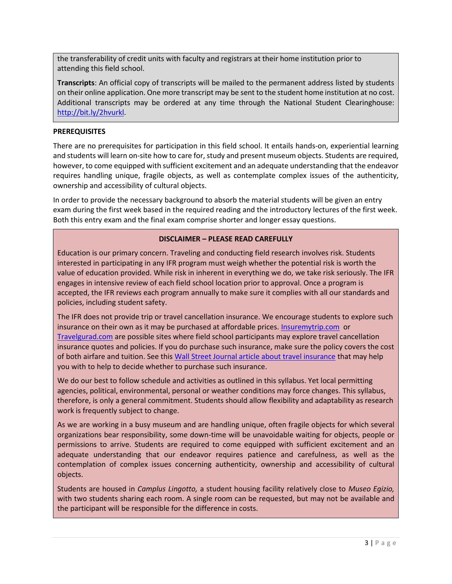the transferability of credit units with faculty and registrars at their home institution prior to attending this field school.

**Transcripts**: An official copy of transcripts will be mailed to the permanent address listed by students on their online application. One more transcript may be sent to the student home institution at no cost. Additional transcripts may be ordered at any time through the National Student Clearinghouse: [http://bit.ly/2hvurkl.](http://bit.ly/2hvurkl)

#### **PREREQUISITES**

There are no prerequisites for participation in this field school. It entails hands-on, experiential learning and students will learn on-site how to care for, study and present museum objects. Students are required, however, to come equipped with sufficient excitement and an adequate understanding that the endeavor requires handling unique, fragile objects, as well as contemplate complex issues of the authenticity, ownership and accessibility of cultural objects.

In order to provide the necessary background to absorb the material students will be given an entry exam during the first week based in the required reading and the introductory lectures of the first week. Both this entry exam and the final exam comprise shorter and longer essay questions.

#### **DISCLAIMER – PLEASE READ CAREFULLY**

Education is our primary concern. Traveling and conducting field research involves risk. Students interested in participating in any IFR program must weigh whether the potential risk is worth the value of education provided. While risk in inherent in everything we do, we take risk seriously. The IFR engages in intensive review of each field school location prior to approval. Once a program is accepted, the IFR reviews each program annually to make sure it complies with all our standards and policies, including student safety.

The IFR does not provide trip or travel cancellation insurance. We encourage students to explore such insurance on their own as it may be purchased at affordable prices[. Insuremytrip.com](http://www.insuremytrip.com/) or [Travelgurad.com](http://www.travelgurad.com/) are possible sites where field school participants may explore travel cancellation insurance quotes and policies. If you do purchase such insurance, make sure the policy covers the cost of both airfare and tuition. See thi[s Wall Street Journal article about travel insurance](https://ifrglobal.org/wp-content/uploads/2019/05/WSJ-04-03-19-Travel-Insurance.pdf) that may help you with to help to decide whether to purchase such insurance.

We do our best to follow schedule and activities as outlined in this syllabus. Yet local permitting agencies, political, environmental, personal or weather conditions may force changes. This syllabus, therefore, is only a general commitment. Students should allow flexibility and adaptability as research work is frequently subject to change.

As we are working in a busy museum and are handling unique, often fragile objects for which several organizations bear responsibility, some down-time will be unavoidable waiting for objects, people or permissions to arrive. Students are required to come equipped with sufficient excitement and an adequate understanding that our endeavor requires patience and carefulness, as well as the contemplation of complex issues concerning authenticity, ownership and accessibility of cultural objects.

Students are housed in *Camplus Lingotto,* a student housing facility relatively close to *Museo Egizio,* with two students sharing each room. A single room can be requested, but may not be available and the participant will be responsible for the difference in costs.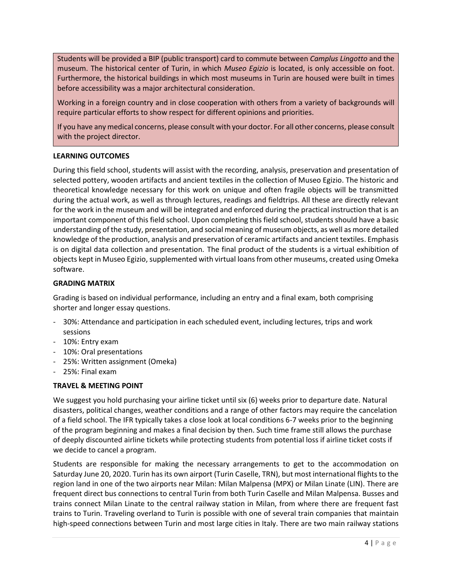Students will be provided a BIP (public transport) card to commute between *Camplus Lingotto* and the museum. The historical center of Turin, in which *Museo Egizio* is located, is only accessible on foot. Furthermore, the historical buildings in which most museums in Turin are housed were built in times before accessibility was a major architectural consideration.

Working in a foreign country and in close cooperation with others from a variety of backgrounds will require particular efforts to show respect for different opinions and priorities.

If you have any medical concerns, please consult with your doctor. For all other concerns, please consult with the project director.

### **LEARNING OUTCOMES**

During this field school, students will assist with the recording, analysis, preservation and presentation of selected pottery, wooden artifacts and ancient textiles in the collection of Museo Egizio. The historic and theoretical knowledge necessary for this work on unique and often fragile objects will be transmitted during the actual work, as well as through lectures, readings and fieldtrips. All these are directly relevant for the work in the museum and will be integrated and enforced during the practical instruction that is an important component of this field school. Upon completing this field school, students should have a basic understanding of the study, presentation, and social meaning of museum objects, as well as more detailed knowledge of the production, analysis and preservation of ceramic artifacts and ancient textiles. Emphasis is on digital data collection and presentation. The final product of the students is a virtual exhibition of objects kept in Museo Egizio, supplemented with virtual loans from other museums, created using Omeka software.

#### **GRADING MATRIX**

Grading is based on individual performance, including an entry and a final exam, both comprising shorter and longer essay questions.

- 30%: Attendance and participation in each scheduled event, including lectures, trips and work sessions
- 10%: Entry exam
- 10%: Oral presentations
- 25%: Written assignment (Omeka)
- 25%: Final exam

### **TRAVEL & MEETING POINT**

We suggest you hold purchasing your airline ticket until six (6) weeks prior to departure date. Natural disasters, political changes, weather conditions and a range of other factors may require the cancelation of a field school. The IFR typically takes a close look at local conditions 6-7 weeks prior to the beginning of the program beginning and makes a final decision by then. Such time frame still allows the purchase of deeply discounted airline tickets while protecting students from potential loss if airline ticket costs if we decide to cancel a program.

Students are responsible for making the necessary arrangements to get to the accommodation on Saturday June 20, 2020. Turin has its own airport (Turin Caselle, TRN), but most international flights to the region land in one of the two airports near Milan: Milan Malpensa (MPX) or Milan Linate (LIN). There are frequent direct bus connections to central Turin from both Turin Caselle and Milan Malpensa. Busses and trains connect Milan Linate to the central railway station in Milan, from where there are frequent fast trains to Turin. Traveling overland to Turin is possible with one of several train companies that maintain high-speed connections between Turin and most large cities in Italy. There are two main railway stations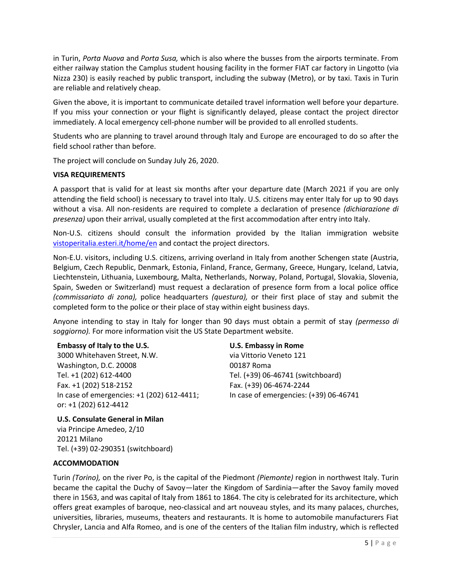in Turin, *Porta Nuova* and *Porta Susa,* which is also where the busses from the airports terminate. From either railway station the Camplus student housing facility in the former FIAT car factory in Lingotto (via Nizza 230) is easily reached by public transport, including the subway (Metro), or by taxi. Taxis in Turin are reliable and relatively cheap.

Given the above, it is important to communicate detailed travel information well before your departure. If you miss your connection or your flight is significantly delayed, please contact the project director immediately. A local emergency cell-phone number will be provided to all enrolled students.

Students who are planning to travel around through Italy and Europe are encouraged to do so after the field school rather than before.

The project will conclude on Sunday July 26, 2020.

#### **VISA REQUIREMENTS**

A passport that is valid for at least six months after your departure date (March 2021 if you are only attending the field school) is necessary to travel into Italy. U.S. citizens may enter Italy for up to 90 days without a visa. All non-residents are required to complete a declaration of presence *(dichiarazione di presenza)* upon their arrival, usually completed at the first accommodation after entry into Italy.

Non-U.S. citizens should consult the information provided by the Italian immigration website [vistoperitalia.esteri.it/home/en](file://///192.168.1.2/Dropbox-IFRGlobal/IFR%20Team/2020/Italy-Turin/httP/vistoperitalia.esteri.it/home/en) and contact the project directors.

Non-E.U. visitors, including U.S. citizens, arriving overland in Italy from another Schengen state (Austria, Belgium, Czech Republic, Denmark, Estonia, Finland, France, Germany, Greece, Hungary, Iceland, Latvia, Liechtenstein, Lithuania, Luxembourg, Malta, Netherlands, Norway, Poland, Portugal, Slovakia, Slovenia, Spain, Sweden or Switzerland) must request a declaration of presence form from a local police office *(commissariato di zona),* police headquarters *(questura),* or their first place of stay and submit the completed form to the police or their place of stay within eight business days.

Anyone intending to stay in Italy for longer than 90 days must obtain a permit of stay *(permesso di soggiorno).* For more information visit the US State Department website.

#### **Embassy of Italy to the U.S.**

3000 Whitehaven Street, N.W. Washington, D.C. 20008 Tel. +1 (202) 612-4400 Fax. +1 (202) 518-2152 In case of emergencies: +1 (202) 612-4411; or: +1 (202) 612-4412

**U.S. Embassy in Rome**

via Vittorio Veneto 121 00187 Roma Tel. (+39) 06-46741 (switchboard) Fax. (+39) 06-4674-2244 In case of emergencies: (+39) 06-46741

**U.S. Consulate General in Milan** via Principe Amedeo, 2/10 20121 Milano Tel. (+39) 02-290351 (switchboard)

#### **ACCOMMODATION**

Turin *(Torino),* on the river Po, is the capital of the Piedmont *(Piemonte)* region in northwest Italy. Turin became the capital the Duchy of Savoy—later the Kingdom of Sardinia—after the Savoy family moved there in 1563, and was capital of Italy from 1861 to 1864. The city is celebrated for its architecture, which offers great examples of baroque, neo-classical and art nouveau styles, and its many palaces, churches, universities, libraries, museums, theaters and restaurants. It is home to automobile manufacturers Fiat Chrysler, Lancia and Alfa Romeo, and is one of the centers of the Italian film industry, which is reflected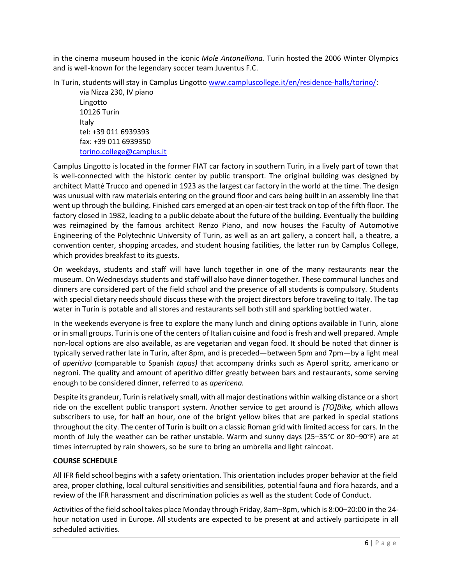in the cinema museum housed in the iconic *Mole Antonelliana.* Turin hosted the 2006 Winter Olympics and is well-known for the legendary soccer team Juventus F.C.

In Turin, students will stay in Camplus Lingotto [www.campluscollege.it/en/residence-halls/torino/:](http://www.campluscollege.it/en/residence-halls/torino/)

via Nizza 230, IV piano Lingotto 10126 Turin Italy tel: +39 011 6939393 fax: +39 011 6939350 [torino.college@camplus.it](mailto:torino.college@camplus.it)

Camplus Lingotto is located in the former FIAT car factory in southern Turin, in a lively part of town that is well-connected with the historic center by public transport. The original building was designed by architect Matté Trucco and opened in 1923 as the largest car factory in the world at the time. The design was unusual with raw materials entering on the ground floor and cars being built in an assembly line that went up through the building. Finished cars emerged at an open-air test track on top of the fifth floor. The factory closed in 1982, leading to a public debate about the future of the building. Eventually the building was reimagined by the famous architect Renzo Piano, and now houses the Faculty of Automotive Engineering of the Polytechnic University of Turin, as well as an art gallery, a concert hall, a theatre, a convention center, shopping arcades, and student housing facilities, the latter run by Camplus College, which provides breakfast to its guests.

On weekdays, students and staff will have lunch together in one of the many restaurants near the museum. On Wednesdays students and staff will also have dinner together. These communal lunches and dinners are considered part of the field school and the presence of all students is compulsory. Students with special dietary needs should discuss these with the project directors before traveling to Italy. The tap water in Turin is potable and all stores and restaurants sell both still and sparkling bottled water.

In the weekends everyone is free to explore the many lunch and dining options available in Turin, alone or in small groups. Turin is one of the centers of Italian cuisine and food is fresh and well prepared. Ample non-local options are also available, as are vegetarian and vegan food. It should be noted that dinner is typically served rather late in Turin, after 8pm, and is preceded—between 5pm and 7pm—by a light meal of *aperitivo* (comparable to Spanish *tapas)* that accompany drinks such as Aperol spritz, americano or negroni. The quality and amount of aperitivo differ greatly between bars and restaurants, some serving enough to be considered dinner, referred to as *apericena.*

Despite its grandeur, Turin is relatively small, with all major destinations within walking distance or a short ride on the excellent public transport system. Another service to get around is *[TO]Bike,* which allows subscribers to use, for half an hour, one of the bright yellow bikes that are parked in special stations throughout the city. The center of Turin is built on a classic Roman grid with limited access for cars. In the month of July the weather can be rather unstable. Warm and sunny days (25–35°C or 80–90°F) are at times interrupted by rain showers, so be sure to bring an umbrella and light raincoat.

### **COURSE SCHEDULE**

All IFR field school begins with a safety orientation. This orientation includes proper behavior at the field area, proper clothing, local cultural sensitivities and sensibilities, potential fauna and flora hazards, and a review of the IFR harassment and discrimination policies as well as the student Code of Conduct.

Activities of the field school takes place Monday through Friday, 8am‒8pm, which is 8:00‒20:00 in the 24 hour notation used in Europe. All students are expected to be present at and actively participate in all scheduled activities.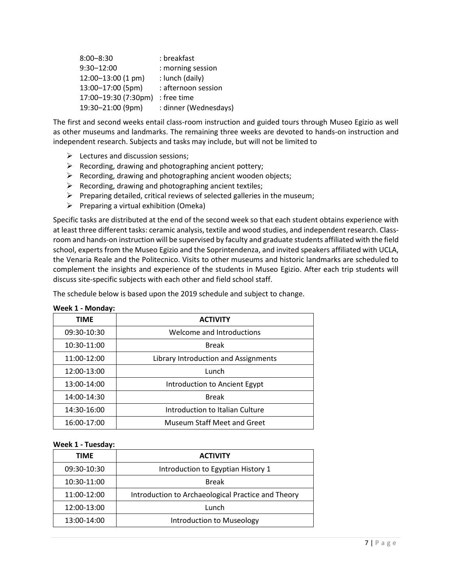| $8:00 - 8:30$        | : breakfast           |
|----------------------|-----------------------|
| 9:30-12:00           | : morning session     |
| 12:00-13:00 (1 pm)   | : lunch (daily)       |
| 13:00-17:00 (5pm)    | : afternoon session   |
| 17:00-19:30 (7:30pm) | : free time           |
| 19:30-21:00 (9pm)    | : dinner (Wednesdays) |

The first and second weeks entail class-room instruction and guided tours through Museo Egizio as well as other museums and landmarks. The remaining three weeks are devoted to hands-on instruction and independent research. Subjects and tasks may include, but will not be limited to

- $\triangleright$  Lectures and discussion sessions;
- $\triangleright$  Recording, drawing and photographing ancient pottery;
- $\triangleright$  Recording, drawing and photographing ancient wooden objects;
- $\triangleright$  Recording, drawing and photographing ancient textiles;
- $\triangleright$  Preparing detailed, critical reviews of selected galleries in the museum;
- $\triangleright$  Preparing a virtual exhibition (Omeka)

Specific tasks are distributed at the end of the second week so that each student obtains experience with at least three different tasks: ceramic analysis, textile and wood studies, and independent research. Classroom and hands-on instruction will be supervised by faculty and graduate students affiliated with the field school, experts from the Museo Egizio and the Soprintendenza, and invited speakers affiliated with UCLA, the Venaria Reale and the Politecnico. Visits to other museums and historic landmarks are scheduled to complement the insights and experience of the students in Museo Egizio. After each trip students will discuss site-specific subjects with each other and field school staff.

The schedule below is based upon the 2019 schedule and subject to change.

| <b>TIME</b> | <b>ACTIVITY</b>                      |
|-------------|--------------------------------------|
| 09:30-10:30 | Welcome and Introductions            |
| 10:30-11:00 | <b>Break</b>                         |
| 11:00-12:00 | Library Introduction and Assignments |
| 12:00-13:00 | Lunch                                |
| 13:00-14:00 | Introduction to Ancient Egypt        |
| 14:00-14:30 | <b>Break</b>                         |
| 14:30-16:00 | Introduction to Italian Culture      |
| 16:00-17:00 | <b>Museum Staff Meet and Greet</b>   |

#### **Week 1 - Monday:**

#### **Week 1 - Tuesday:**

| <b>TIME</b> | <b>ACTIVITY</b>                                    |
|-------------|----------------------------------------------------|
| 09:30-10:30 | Introduction to Egyptian History 1                 |
| 10:30-11:00 | <b>Break</b>                                       |
| 11:00-12:00 | Introduction to Archaeological Practice and Theory |
| 12:00-13:00 | Lunch                                              |
| 13:00-14:00 | Introduction to Museology                          |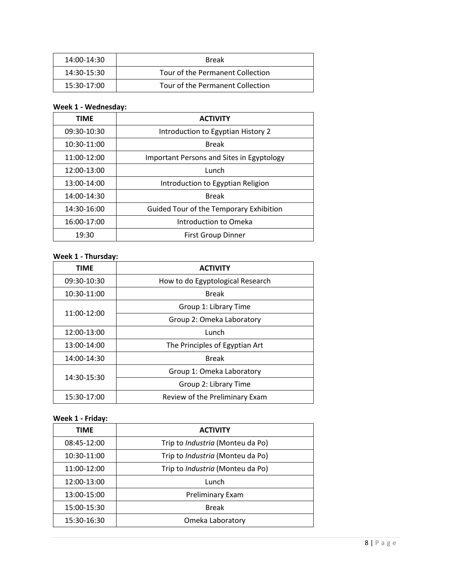| 14:00-14:30 | <b>Break</b>                     |
|-------------|----------------------------------|
| 14:30-15:30 | Tour of the Permanent Collection |
| 15:30-17:00 | Tour of the Permanent Collection |

# **Week 1 - Wednesday:**

| <b>TIME</b> | <b>ACTIVITY</b>                                  |
|-------------|--------------------------------------------------|
| 09:30-10:30 | Introduction to Egyptian History 2               |
| 10:30-11:00 | <b>Break</b>                                     |
| 11:00-12:00 | <b>Important Persons and Sites in Egyptology</b> |
| 12:00-13:00 | Lunch                                            |
| 13:00-14:00 | Introduction to Egyptian Religion                |
| 14:00-14:30 | <b>Break</b>                                     |
| 14:30-16:00 | Guided Tour of the Temporary Exhibition          |
| 16:00-17:00 | Introduction to Omeka                            |
| 19:30       | <b>First Group Dinner</b>                        |

#### **Week 1 - Thursday:**

| <b>TIME</b> | <b>ACTIVITY</b>                  |
|-------------|----------------------------------|
| 09:30-10:30 | How to do Egyptological Research |
| 10:30-11:00 | <b>Break</b>                     |
| 11:00-12:00 | Group 1: Library Time            |
|             | Group 2: Omeka Laboratory        |
| 12:00-13:00 | Lunch                            |
| 13:00-14:00 | The Principles of Egyptian Art   |
| 14:00-14:30 | <b>Break</b>                     |
| 14:30-15:30 | Group 1: Omeka Laboratory        |
|             | Group 2: Library Time            |
| 15:30-17:00 | Review of the Preliminary Exam   |

# **Week 1 - Friday:**

| TIME        | <b>ACTIVITY</b>                         |
|-------------|-----------------------------------------|
| 08:45-12:00 | Trip to <i>Industria</i> (Monteu da Po) |
| 10:30-11:00 | Trip to <i>Industria</i> (Monteu da Po) |
| 11:00-12:00 | Trip to <i>Industria</i> (Monteu da Po) |
| 12:00-13:00 | Lunch                                   |
| 13:00-15:00 | Preliminary Exam                        |
| 15:00-15:30 | <b>Break</b>                            |
| 15:30-16:30 | Omeka Laboratory                        |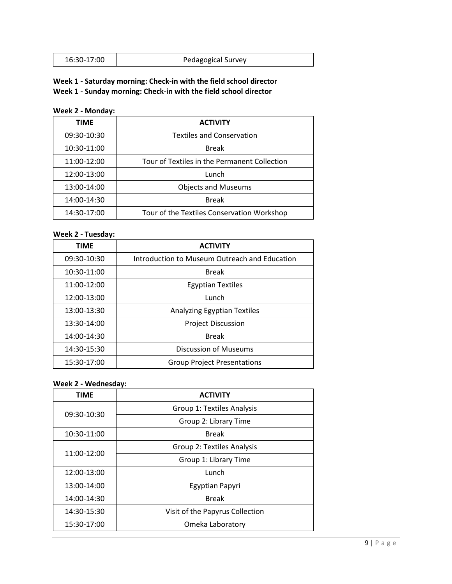| Pedagogical Survey<br>16:30-17:00 |
|-----------------------------------|
|-----------------------------------|

# **Week 1 - Saturday morning: Check-in with the field school director Week 1 - Sunday morning: Check-in with the field school director**

# **Week 2 - Monday:**

| <b>TIME</b> | <b>ACTIVITY</b>                              |
|-------------|----------------------------------------------|
| 09:30-10:30 | <b>Textiles and Conservation</b>             |
| 10:30-11:00 | <b>Break</b>                                 |
| 11:00-12:00 | Tour of Textiles in the Permanent Collection |
| 12:00-13:00 | Lunch                                        |
| 13:00-14:00 | <b>Objects and Museums</b>                   |
| 14:00-14:30 | <b>Break</b>                                 |
| 14:30-17:00 | Tour of the Textiles Conservation Workshop   |

#### **Week 2 - Tuesday:**

| <b>TIME</b> | <b>ACTIVITY</b>                               |
|-------------|-----------------------------------------------|
| 09:30-10:30 | Introduction to Museum Outreach and Education |
| 10:30-11:00 | <b>Break</b>                                  |
| 11:00-12:00 | <b>Egyptian Textiles</b>                      |
| 12:00-13:00 | Lunch                                         |
| 13:00-13:30 | Analyzing Egyptian Textiles                   |
| 13:30-14:00 | <b>Project Discussion</b>                     |
| 14:00-14:30 | <b>Break</b>                                  |
| 14:30-15:30 | <b>Discussion of Museums</b>                  |
| 15:30-17:00 | <b>Group Project Presentations</b>            |

#### **Week 2 - Wednesday:**

| <b>TIME</b> | <b>ACTIVITY</b>                 |
|-------------|---------------------------------|
| 09:30-10:30 | Group 1: Textiles Analysis      |
|             | Group 2: Library Time           |
| 10:30-11:00 | <b>Break</b>                    |
| 11:00-12:00 | Group 2: Textiles Analysis      |
|             | Group 1: Library Time           |
| 12:00-13:00 | Lunch                           |
| 13:00-14:00 | Egyptian Papyri                 |
| 14:00-14:30 | <b>Break</b>                    |
| 14:30-15:30 | Visit of the Papyrus Collection |
| 15:30-17:00 | Omeka Laboratory                |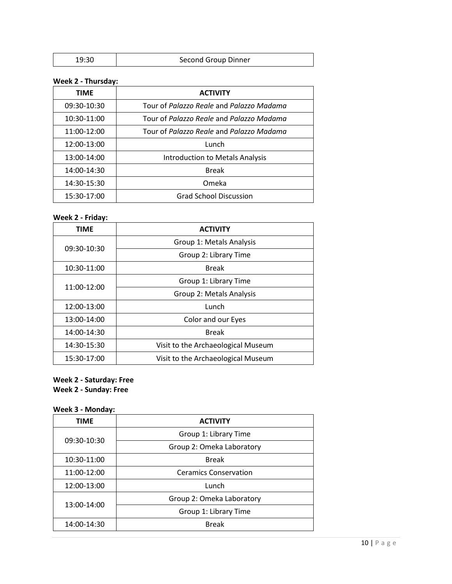# **Week 2 - Thursday:**

| <b>TIME</b> | <b>ACTIVITY</b>                          |
|-------------|------------------------------------------|
| 09:30-10:30 | Tour of Palazzo Reale and Palazzo Madama |
| 10:30-11:00 | Tour of Palazzo Reale and Palazzo Madama |
| 11:00-12:00 | Tour of Palazzo Reale and Palazzo Madama |
| 12:00-13:00 | Lunch                                    |
| 13:00-14:00 | Introduction to Metals Analysis          |
| 14:00-14:30 | <b>Break</b>                             |
| 14:30-15:30 | Omeka                                    |
| 15:30-17:00 | <b>Grad School Discussion</b>            |

# **Week 2 - Friday:**

| <b>TIME</b> | <b>ACTIVITY</b>                    |
|-------------|------------------------------------|
|             | Group 1: Metals Analysis           |
| 09:30-10:30 | Group 2: Library Time              |
| 10:30-11:00 | <b>Break</b>                       |
| 11:00-12:00 | Group 1: Library Time              |
|             | Group 2: Metals Analysis           |
| 12:00-13:00 | Lunch                              |
| 13:00-14:00 | Color and our Eyes                 |
| 14:00-14:30 | <b>Break</b>                       |
| 14:30-15:30 | Visit to the Archaeological Museum |
| 15:30-17:00 | Visit to the Archaeological Museum |

# **Week 2 - Saturday: Free**

**Week 2 - Sunday: Free**

# **Week 3 - Monday:**

| <b>TIME</b> | <b>ACTIVITY</b>              |
|-------------|------------------------------|
| 09:30-10:30 | Group 1: Library Time        |
|             | Group 2: Omeka Laboratory    |
| 10:30-11:00 | <b>Break</b>                 |
| 11:00-12:00 | <b>Ceramics Conservation</b> |
| 12:00-13:00 | Lunch                        |
| 13:00-14:00 | Group 2: Omeka Laboratory    |
|             | Group 1: Library Time        |
| 14:00-14:30 | <b>Break</b>                 |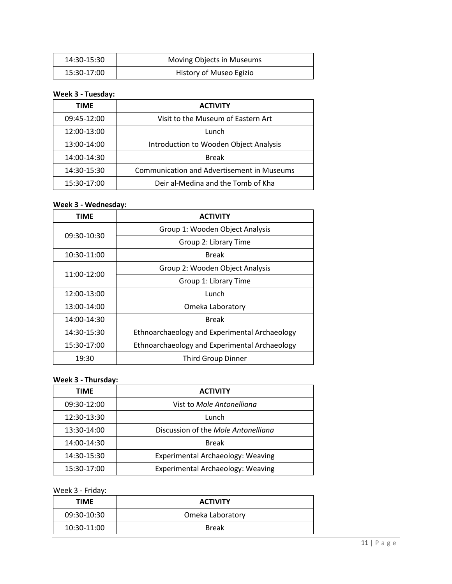| 14:30-15:30 | Moving Objects in Museums |
|-------------|---------------------------|
| 15:30-17:00 | History of Museo Egizio   |

#### **Week 3 - Tuesday:**

| <b>TIME</b> | <b>ACTIVITY</b>                                   |
|-------------|---------------------------------------------------|
| 09:45-12:00 | Visit to the Museum of Eastern Art                |
| 12:00-13:00 | Lunch                                             |
| 13:00-14:00 | Introduction to Wooden Object Analysis            |
| 14:00-14:30 | <b>Break</b>                                      |
| 14:30-15:30 | <b>Communication and Advertisement in Museums</b> |
| 15:30-17:00 | Deir al-Medina and the Tomb of Kha                |

#### **Week 3 - Wednesday:**

| TIME        | <b>ACTIVITY</b>                               |
|-------------|-----------------------------------------------|
| 09:30-10:30 | Group 1: Wooden Object Analysis               |
|             | Group 2: Library Time                         |
| 10:30-11:00 | <b>Break</b>                                  |
| 11:00-12:00 | Group 2: Wooden Object Analysis               |
|             | Group 1: Library Time                         |
| 12:00-13:00 | Lunch                                         |
| 13:00-14:00 | Omeka Laboratory                              |
| 14:00-14:30 | <b>Break</b>                                  |
| 14:30-15:30 | Ethnoarchaeology and Experimental Archaeology |
| 15:30-17:00 | Ethnoarchaeology and Experimental Archaeology |
| 19:30       | <b>Third Group Dinner</b>                     |

# **Week 3 - Thursday:**

| <b>TIME</b> | <b>ACTIVITY</b>                          |
|-------------|------------------------------------------|
| 09:30-12:00 | Vist to Mole Antonelliana                |
| 12:30-13:30 | Lunch                                    |
| 13:30-14:00 | Discussion of the Mole Antonelliana      |
| 14:00-14:30 | <b>Break</b>                             |
| 14:30-15:30 | <b>Experimental Archaeology: Weaving</b> |
| 15:30-17:00 | <b>Experimental Archaeology: Weaving</b> |

# Week 3 - Friday:

| <b>TIME</b> | <b>ACTIVITY</b>  |
|-------------|------------------|
| 09:30-10:30 | Omeka Laboratory |
| 10:30-11:00 | <b>Break</b>     |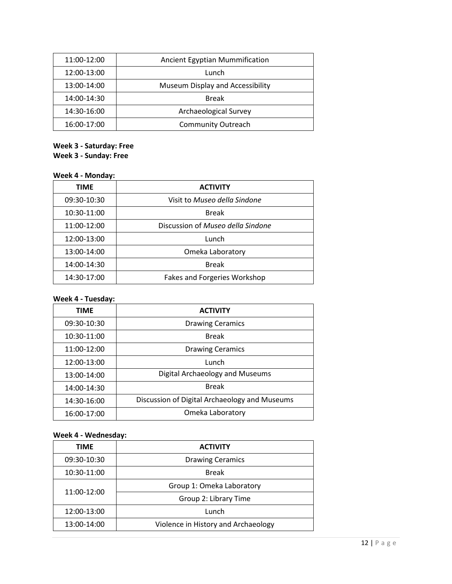| 11:00-12:00 | <b>Ancient Egyptian Mummification</b> |
|-------------|---------------------------------------|
| 12:00-13:00 | Lunch                                 |
| 13:00-14:00 | Museum Display and Accessibility      |
| 14:00-14:30 | <b>Break</b>                          |
| 14:30-16:00 | Archaeological Survey                 |
| 16:00-17:00 | <b>Community Outreach</b>             |

# **Week 3 - Saturday: Free**

**Week 3 - Sunday: Free**

# **Week 4 - Monday:**

| <b>TIME</b> | <b>ACTIVITY</b>                   |
|-------------|-----------------------------------|
| 09:30-10:30 | Visit to Museo della Sindone      |
| 10:30-11:00 | <b>Break</b>                      |
| 11:00-12:00 | Discussion of Museo della Sindone |
| 12:00-13:00 | Lunch                             |
| 13:00-14:00 | Omeka Laboratory                  |
| 14:00-14:30 | <b>Break</b>                      |
| 14:30-17:00 | Fakes and Forgeries Workshop      |

### **Week 4 - Tuesday:**

| <b>TIME</b> | <b>ACTIVITY</b>                               |
|-------------|-----------------------------------------------|
| 09:30-10:30 | <b>Drawing Ceramics</b>                       |
| 10:30-11:00 | <b>Break</b>                                  |
| 11:00-12:00 | <b>Drawing Ceramics</b>                       |
| 12:00-13:00 | Lunch                                         |
| 13:00-14:00 | Digital Archaeology and Museums               |
| 14:00-14:30 | <b>Break</b>                                  |
| 14:30-16:00 | Discussion of Digital Archaeology and Museums |
| 16:00-17:00 | Omeka Laboratory                              |

# **Week 4 - Wednesday:**

| <b>TIME</b> | <b>ACTIVITY</b>                     |
|-------------|-------------------------------------|
| 09:30-10:30 | <b>Drawing Ceramics</b>             |
| 10:30-11:00 | <b>Break</b>                        |
| 11:00-12:00 | Group 1: Omeka Laboratory           |
|             | Group 2: Library Time               |
| 12:00-13:00 | Lunch                               |
| 13:00-14:00 | Violence in History and Archaeology |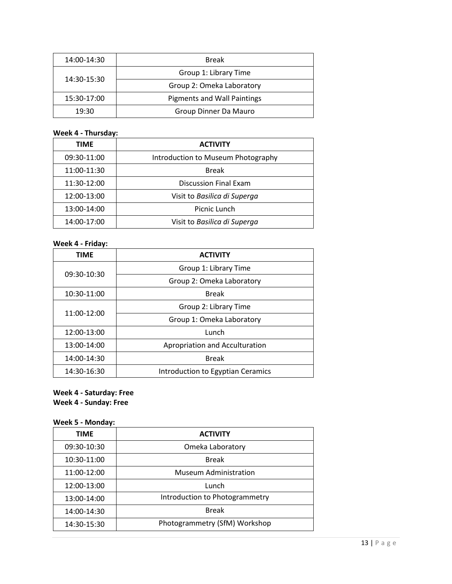| 14:00-14:30 | <b>Break</b>                       |
|-------------|------------------------------------|
| 14:30-15:30 | Group 1: Library Time              |
|             | Group 2: Omeka Laboratory          |
| 15:30-17:00 | <b>Pigments and Wall Paintings</b> |
| 19:30       | Group Dinner Da Mauro              |

# **Week 4 - Thursday:**

| TIME        | <b>ACTIVITY</b>                    |
|-------------|------------------------------------|
| 09:30-11:00 | Introduction to Museum Photography |
| 11:00-11:30 | <b>Break</b>                       |
| 11:30-12:00 | <b>Discussion Final Exam</b>       |
| 12:00-13:00 | Visit to Basilica di Superga       |
| 13:00-14:00 | Picnic Lunch                       |
| 14:00-17:00 | Visit to Basilica di Superga       |

# **Week 4 - Friday:**

| <b>TIME</b> | <b>ACTIVITY</b>                   |
|-------------|-----------------------------------|
|             | Group 1: Library Time             |
| 09:30-10:30 | Group 2: Omeka Laboratory         |
| 10:30-11:00 | <b>Break</b>                      |
|             | Group 2: Library Time             |
| 11:00-12:00 | Group 1: Omeka Laboratory         |
| 12:00-13:00 | Lunch                             |
| 13:00-14:00 | Apropriation and Acculturation    |
| 14:00-14:30 | <b>Break</b>                      |
| 14:30-16:30 | Introduction to Egyptian Ceramics |

# **Week 4 - Saturday: Free**

**Week 4 - Sunday: Free**

### **Week 5 - Monday:**

| <b>TIME</b> | <b>ACTIVITY</b>                |
|-------------|--------------------------------|
| 09:30-10:30 | Omeka Laboratory               |
| 10:30-11:00 | <b>Break</b>                   |
| 11:00-12:00 | <b>Museum Administration</b>   |
| 12:00-13:00 | Lunch                          |
| 13:00-14:00 | Introduction to Photogrammetry |
| 14:00-14:30 | <b>Break</b>                   |
| 14:30-15:30 | Photogrammetry (SfM) Workshop  |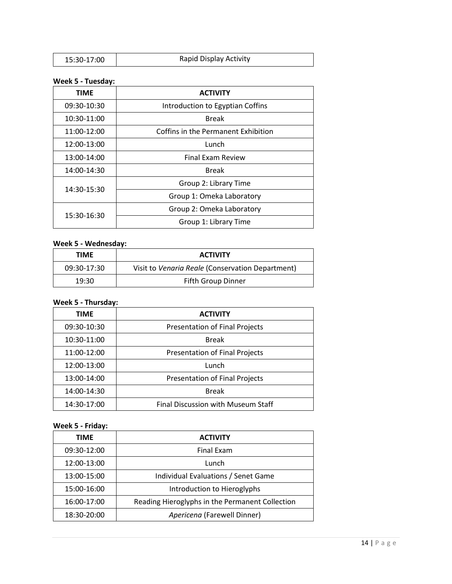| Rapid Display Activity<br>15:30-17:00 |
|---------------------------------------|
|---------------------------------------|

# **Week 5 - Tuesday:**

| TIME        | <b>ACTIVITY</b>                     |
|-------------|-------------------------------------|
| 09:30-10:30 | Introduction to Egyptian Coffins    |
| 10:30-11:00 | <b>Break</b>                        |
| 11:00-12:00 | Coffins in the Permanent Exhibition |
| 12:00-13:00 | Lunch                               |
| 13:00-14:00 | <b>Final Exam Review</b>            |
| 14:00-14:30 | <b>Break</b>                        |
| 14:30-15:30 | Group 2: Library Time               |
|             | Group 1: Omeka Laboratory           |
| 15:30-16:30 | Group 2: Omeka Laboratory           |
|             | Group 1: Library Time               |

# **Week 5 - Wednesday:**

| TIME        | <b>ACTIVITY</b>                                  |
|-------------|--------------------------------------------------|
| 09:30-17:30 | Visit to Venaria Reale (Conservation Department) |
| 19:30       | Fifth Group Dinner                               |

# **Week 5 - Thursday:**

| <b>TIME</b> | <b>ACTIVITY</b>                       |
|-------------|---------------------------------------|
| 09:30-10:30 | <b>Presentation of Final Projects</b> |
| 10:30-11:00 | <b>Break</b>                          |
| 11:00-12:00 | Presentation of Final Projects        |
| 12:00-13:00 | Lunch                                 |
| 13:00-14:00 | Presentation of Final Projects        |
| 14:00-14:30 | <b>Break</b>                          |
| 14:30-17:00 | Final Discussion with Museum Staff    |

# **Week 5 - Friday:**

| <b>TIME</b> | <b>ACTIVITY</b>                                 |
|-------------|-------------------------------------------------|
| 09:30-12:00 | <b>Final Exam</b>                               |
| 12:00-13:00 | Lunch                                           |
| 13:00-15:00 | Individual Evaluations / Senet Game             |
| 15:00-16:00 | Introduction to Hieroglyphs                     |
| 16:00-17:00 | Reading Hieroglyphs in the Permanent Collection |
| 18:30-20:00 | Apericena (Farewell Dinner)                     |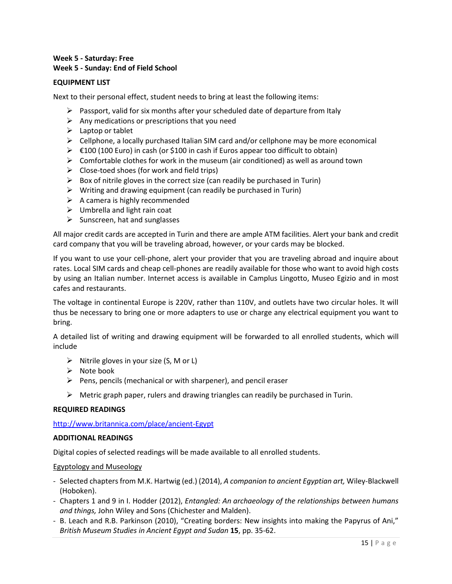#### **Week 5 - Saturday: Free Week 5 - Sunday: End of Field School**

#### **EQUIPMENT LIST**

Next to their personal effect, student needs to bring at least the following items:

- $\triangleright$  Passport, valid for six months after your scheduled date of departure from Italy
- $\triangleright$  Any medications or prescriptions that you need
- $\blacktriangleright$  Laptop or tablet
- $\triangleright$  Cellphone, a locally purchased Italian SIM card and/or cellphone may be more economical
- $\triangleright$   $\in$  100 (100 Euro) in cash (or \$100 in cash if Euros appear too difficult to obtain)
- $\triangleright$  Comfortable clothes for work in the museum (air conditioned) as well as around town
- $\triangleright$  Close-toed shoes (for work and field trips)
- $\triangleright$  Box of nitrile gloves in the correct size (can readily be purchased in Turin)
- $\triangleright$  Writing and drawing equipment (can readily be purchased in Turin)
- $\triangleright$  A camera is highly recommended
- $\triangleright$  Umbrella and light rain coat
- $\triangleright$  Sunscreen, hat and sunglasses

All major credit cards are accepted in Turin and there are ample ATM facilities. Alert your bank and credit card company that you will be traveling abroad, however, or your cards may be blocked.

If you want to use your cell-phone, alert your provider that you are traveling abroad and inquire about rates. Local SIM cards and cheap cell-phones are readily available for those who want to avoid high costs by using an Italian number. Internet access is available in Camplus Lingotto, Museo Egizio and in most cafes and restaurants.

The voltage in continental Europe is 220V, rather than 110V, and outlets have two circular holes. It will thus be necessary to bring one or more adapters to use or charge any electrical equipment you want to bring.

A detailed list of writing and drawing equipment will be forwarded to all enrolled students, which will include

- $\triangleright$  Nitrile gloves in your size (S, M or L)
- $\triangleright$  Note book
- $\triangleright$  Pens, pencils (mechanical or with sharpener), and pencil eraser
- $\triangleright$  Metric graph paper, rulers and drawing triangles can readily be purchased in Turin.

#### **REQUIRED READINGS**

#### <http://www.britannica.com/place/ancient-Egypt>

#### **ADDITIONAL READINGS**

Digital copies of selected readings will be made available to all enrolled students.

#### Egyptology and Museology

- Selected chapters from M.K. Hartwig (ed.) (2014), *A companion to ancient Egyptian art,* Wiley-Blackwell (Hoboken).
- Chapters 1 and 9 in I. Hodder (2012), *Entangled: An archaeology of the relationships between humans and things,* John Wiley and Sons (Chichester and Malden).
- B. Leach and R.B. Parkinson (2010), "Creating borders: New insights into making the Papyrus of Ani," *British Museum Studies in Ancient Egypt and Sudan* **15**, pp. 35-62.